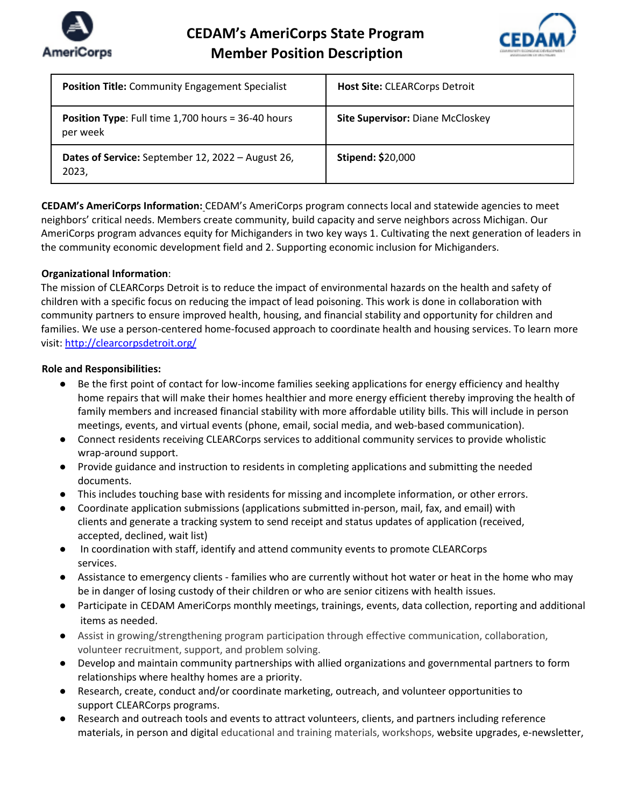



| <b>Position Title:</b> Community Engagement Specialist                    | <b>Host Site: CLEARCorps Detroit</b>    |
|---------------------------------------------------------------------------|-----------------------------------------|
| <b>Position Type:</b> Full time $1,700$ hours = $36-40$ hours<br>per week | <b>Site Supervisor: Diane McCloskey</b> |
| Dates of Service: September 12, 2022 - August 26,<br>2023,                | <b>Stipend: \$20,000</b>                |

**CEDAM's AmeriCorps Information:** CEDAM's AmeriCorps program connects local and statewide agencies to meet neighbors' critical needs. Members create community, build capacity and serve neighbors across Michigan. Our AmeriCorps program advances equity for Michiganders in two key ways 1. Cultivating the next generation of leaders in the community economic development field and 2. Supporting economic inclusion for Michiganders.

## **Organizational Information**:

The mission of CLEARCorps Detroit is to reduce the impact of environmental hazards on the health and safety of children with a specific focus on reducing the impact of lead poisoning. This work is done in collaboration with community partners to ensure improved health, housing, and financial stability and opportunity for children and families. We use a person-centered home-focused approach to coordinate health and housing services. To learn more visit: http://clearcorpsdetroit.org/

## **Role and Responsibilities:**

- Be the first point of contact for low-income families seeking applications for energy efficiency and healthy home repairs that will make their homes healthier and more energy efficient thereby improving the health of family members and increased financial stability with more affordable utility bills. This will include in person meetings, events, and virtual events (phone, email, social media, and web-based communication).
- Connect residents receiving CLEARCorps services to additional community services to provide wholistic wrap-around support.
- Provide guidance and instruction to residents in completing applications and submitting the needed documents.
- This includes touching base with residents for missing and incomplete information, or other errors.
- Coordinate application submissions (applications submitted in-person, mail, fax, and email) with clients and generate a tracking system to send receipt and status updates of application (received, accepted, declined, wait list)
- In coordination with staff, identify and attend community events to promote CLEARCorps services.
- Assistance to emergency clients families who are currently without hot water or heat in the home who may be in danger of losing custody of their children or who are senior citizens with health issues.
- Participate in CEDAM AmeriCorps monthly meetings, trainings, events, data collection, reporting and additional items as needed.
- Assist in growing/strengthening program participation through effective communication, collaboration, volunteer recruitment, support, and problem solving.
- Develop and maintain community partnerships with allied organizations and governmental partners to form relationships where healthy homes are a priority.
- Research, create, conduct and/or coordinate marketing, outreach, and volunteer opportunities to support CLEARCorps programs.
- Research and outreach tools and events to attract volunteers, clients, and partners including reference materials, in person and digital educational and training materials, workshops, website upgrades, e-newsletter,